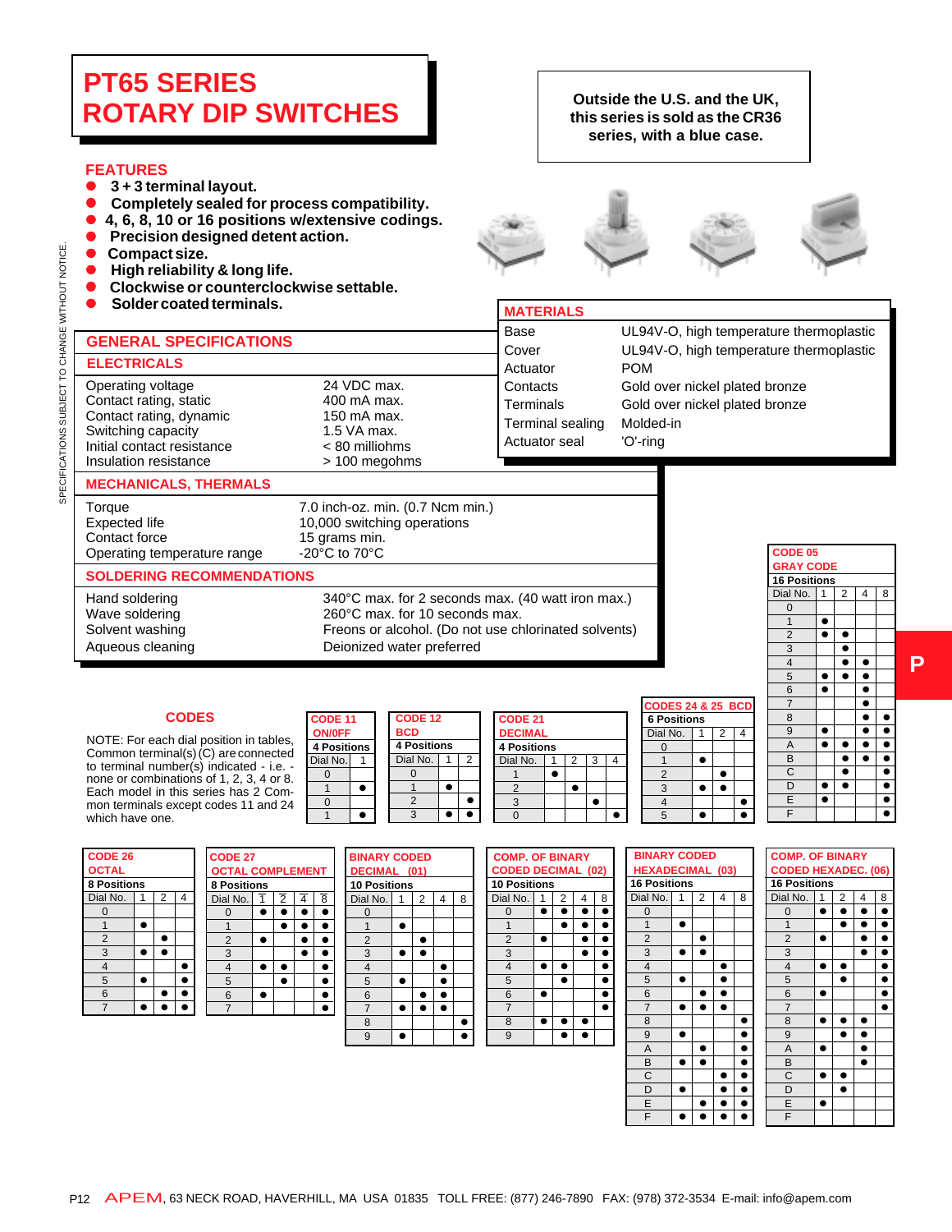# **PT65 SERIES ROTARY DIP SWITCHES**

### **FEATURES**

- 3 + 3 terminal layout.
- **Completely sealed for process compatibility.**<br> **A** 4 6 8 10 or 16 positions w/extensive codings
- z **4, 6, 8, 10 or 16 positions w/extensive codings.**
- z **Precision designed detent action.**
- 

 **ELECTRICALS**

- Compact size.<br>● High reliability z **High reliability & long life.**
- Clockwise or counterclockwise settable.

Operating voltage 24 VDC max.<br>
Contact rating, static 400 mA max. Contact rating, static and the 400 mA max.<br>Contact rating. dynamic degree 150 mA max.

<sup>z</sup> **Solder coated terminals. MATERIALS**

 **GENERAL SPECIFICATIONS**

### **Outside the U.S. and the UK, this series is sold as the CR36 series, with a blue case.**





| Base             | UL94V-O, high temperature thermoplastic |
|------------------|-----------------------------------------|
| Cover            | UL94V-O, high temperature thermoplastic |
| Actuator         | <b>POM</b>                              |
| Contacts         | Gold over nickel plated bronze          |
| Terminals        | Gold over nickel plated bronze          |
| Terminal sealing | Molded-in                               |
| Actuator seal    | 'O'-ring                                |
|                  |                                         |

# SPECIFICATIONS SUBJECT TO CHANGE WITHOUT NOTICE SPECIFICATIONS SUBJECT TO CHANGE WITHOUT NOTICE. Contact rating, dynamic 150 mA max.<br>Switching capacity 1.5 VA max. Switching capacity Initial contact resistance  $\sim$  80 milliohms<br>Insulation resistance  $\sim$  100 megohms Insulation resistance **MECHANICALS, THERMALS**

Torque 7.0 inch-oz. min. (0.7 Ncm min.)<br>Expected life 10.000 switching operations Expected life 10,000 switching operations<br>
Contact force 15 grams min. Operating temperature range

15 grams min.<br>-20 $^{\circ}$ C to 70 $^{\circ}$ C

### **SOLDERING RECOMMENDATIONS**

Hand soldering 340°C max. for 2 seconds max. (40 watt iron max.)<br>Wave soldering 360°C max. for 10 seconds max. Wave soldering 260°C max. for 10 seconds max.<br>
Solvent washing Freons or alcohol. (Do not use ch

# Freons or alcohol. (Do not use chlorinated solvents) Aqueous cleaning **Deionized water preferred**

**ON/OFF** NOTE: For each dial position in tables,<br>Common terminal(a) (C) are connected **4 Positions**  $\frac{1}{2}$  Dial No. 1 to terminal number(s) indicated - i.e. -  $\frac{1}{2}$ **CODES CODES** Common terminal(s) (C) are connected none or combinations of 1, 2, 3, 4 or 8. Each model in this series has 2 Common terminals except codes 11 and 24 which have one.

|                                   | <b>CODE 11</b>     |  | <b>CODE 12</b>     |   | <b>CODE 21</b>    |  |
|-----------------------------------|--------------------|--|--------------------|---|-------------------|--|
|                                   | ON/OFF             |  | <b>BCD</b>         |   | <b>DECIMAL</b>    |  |
| ition in tables,<br>are connected | <b>4 Positions</b> |  | <b>4 Positions</b> |   | <b>4 Position</b> |  |
| dicated - i.e. -                  | Dial No.           |  | Dial No.           | 2 | Dial No.          |  |
| $1, 2, 3, 4$ or 8.                |                    |  |                    |   |                   |  |
| s has 2 Com-                      |                    |  |                    |   |                   |  |
| des 11 and 24                     |                    |  | っ                  |   |                   |  |
|                                   |                    |  | 3                  |   |                   |  |

|                 |   |                    |   |   | I CODES 24 8       |                |
|-----------------|---|--------------------|---|---|--------------------|----------------|
| <b>DE 12</b>    |   | <b>CODE 21</b>     |   |   | <b>6 Positions</b> |                |
| ۵ľ              |   | <b>DECIMAL</b>     |   |   | Dial No.           | $\overline{1}$ |
| <b>ositions</b> |   | <b>4 Positions</b> |   |   |                    |                |
| il No.          | 2 | Dial No.           | 2 | 4 |                    |                |
| 0               |   |                    |   |   |                    |                |
|                 |   |                    |   |   |                    |                |
| $\overline{2}$  |   |                    |   |   |                    |                |
| 3               |   |                    |   |   |                    |                |

|                |   |  | <b>CODES 24 &amp; 25 BCD</b> |   |  |
|----------------|---|--|------------------------------|---|--|
|                |   |  | <b>6 Positions</b>           |   |  |
|                |   |  | Dial No.                     | 2 |  |
|                |   |  |                              |   |  |
| $\overline{2}$ | 3 |  |                              |   |  |
|                |   |  | $\overline{2}$               |   |  |
|                |   |  | 3                            |   |  |
|                |   |  |                              |   |  |
|                |   |  |                              |   |  |

|      |   |             | CODE 05             |   |   |   |           |
|------|---|-------------|---------------------|---|---|---|-----------|
|      |   |             | <b>GRAY CODE</b>    |   |   |   |           |
|      |   |             | <b>16 Positions</b> |   |   |   |           |
|      |   |             | Dial No.            | 1 | 2 | 4 | 8         |
|      |   |             | 0                   |   |   |   |           |
|      |   |             | 1                   |   |   |   |           |
|      |   |             | $\overline{2}$      |   |   |   |           |
|      |   |             | 3                   |   |   |   |           |
|      |   |             | $\overline{4}$      |   |   |   |           |
|      |   |             | 5                   |   |   |   |           |
|      |   |             | 6                   |   |   |   |           |
|      |   | 24 & 25 BCD | $\overline{7}$      |   |   |   |           |
| ions |   |             | 8                   |   |   |   |           |
| 1    | 2 | 4           | 9                   |   |   |   | $\bullet$ |
|      |   |             | $\overline{A}$      |   |   |   | $\bullet$ |
|      |   |             | B                   |   |   |   | $\bullet$ |
|      |   |             | C                   |   |   |   | õ         |
|      |   |             | D                   |   |   |   |           |
|      |   |             | Ē                   |   |   |   |           |
|      |   |             | ī                   |   |   |   |           |

| <b>OCTAL</b> |   |                               |   |                |                                                         |
|--------------|---|-------------------------------|---|----------------|---------------------------------------------------------|
|              |   |                               |   |                |                                                         |
| Dial No.     | 1 | $\overline{2}$                | 4 |                |                                                         |
|              |   |                               |   |                |                                                         |
|              |   |                               |   |                |                                                         |
| 2            |   |                               |   | $\overline{2}$ |                                                         |
| 3            |   |                               |   | 3              |                                                         |
| 4            |   |                               |   |                |                                                         |
| 5            |   |                               |   | 5              |                                                         |
| 6            |   |                               |   | 6              |                                                         |
|              |   |                               |   |                |                                                         |
|              |   | <b>CODE 26</b><br>8 Positions |   |                | <b>CODE 27</b><br><b>OCTAL</b><br>8 Positio<br>Dial No. |

| 26 |      |   |   | <b>CODE 27</b>          |                |   |   | <b>BINARY CODEI</b> |                |
|----|------|---|---|-------------------------|----------------|---|---|---------------------|----------------|
|    |      |   |   | <b>OCTAL COMPLEMENT</b> |                |   |   | DECIMAL (01)        |                |
|    | ions |   |   | <b>8 Positions</b>      |                |   |   | <b>10 Positions</b> |                |
|    |      | 2 | 4 | Dial No.                | $\overline{2}$ | 4 | 8 | Dial No.            | $\overline{2}$ |
|    |      |   |   |                         |                |   |   |                     |                |
|    |      |   |   |                         |                |   |   |                     |                |
|    |      |   |   | $\overline{2}$          |                |   |   | $\overline{2}$      |                |
|    |      |   |   | 3                       |                |   |   | 3                   |                |
|    |      |   |   | 4                       |                |   |   | 4                   |                |
|    |      |   |   | 5                       |                |   |   | 5                   |                |
|    |      |   |   | 6                       |                |   |   | 6                   |                |
|    |      |   |   |                         |                |   |   |                     |                |
|    |      |   |   |                         |                |   |   | $\circ$             |                |

|   |                | <b>OMPLEMENT</b> |   | <b>BINARY CODED</b><br>DECIMAL (01) |   |   |   | <b>COMP. OF E</b><br><b>CODED DEC</b> |   |  |
|---|----------------|------------------|---|-------------------------------------|---|---|---|---------------------------------------|---|--|
| s |                |                  |   | <b>10 Positions</b>                 |   |   |   | <b>10 Positions</b>                   |   |  |
| Ŧ | $\overline{2}$ | 4                | 8 | Dial No.                            | 2 | 4 | 8 | Dial No.                              | 1 |  |
|   |                |                  |   | n                                   |   |   |   | 0                                     |   |  |
|   |                |                  |   |                                     |   |   |   |                                       |   |  |
|   |                |                  |   | $\overline{2}$                      |   |   |   | $\overline{2}$                        |   |  |
|   |                |                  |   | 3                                   |   |   |   | 3                                     |   |  |
|   |                |                  |   | 4                                   |   |   |   | 4                                     |   |  |
|   |                |                  |   | 5                                   |   |   |   | 5                                     |   |  |
|   |                |                  |   | 6                                   |   |   |   | 6                                     |   |  |
|   |                |                  |   | 7                                   |   |   |   |                                       |   |  |
|   |                |                  |   | 8                                   |   |   |   | 8                                     |   |  |
|   |                |                  |   | 9                                   |   |   |   | 9                                     |   |  |
|   |                |                  |   |                                     |   |   |   |                                       |   |  |

|    | <b>ODED</b> |   |   | <b>COMP. OF BINARY</b>    |   |   |   |   | <b>BINARY CO</b>    |   |
|----|-------------|---|---|---------------------------|---|---|---|---|---------------------|---|
|    | (01)        |   |   | <b>CODED DECIMAL (02)</b> |   |   |   |   | <b>HEXADECIM</b>    |   |
| ns |             |   |   | <b>10 Positions</b>       |   |   |   |   | <b>16 Positions</b> |   |
|    | 2           | 4 | 8 | Dial No.                  | 1 | 2 | 4 | 8 | Dial No.            | 1 |
|    |             |   |   | 0                         |   |   |   |   | $\Omega$            |   |
|    |             |   |   | 1                         |   | ٠ |   |   | 1                   |   |
|    |             |   |   | $\overline{2}$            |   |   |   |   | $\overline{2}$      |   |
|    |             |   |   | 3                         |   |   |   |   | 3                   |   |
|    |             |   |   | $\overline{4}$            |   |   |   |   | $\overline{4}$      |   |
|    |             |   |   | 5                         |   |   |   |   | 5                   |   |
|    |             |   |   | 6                         |   |   |   |   | 6                   |   |
|    |             |   |   | $\overline{7}$            |   |   |   |   | 7                   |   |
|    |             |   |   | 8                         |   |   |   |   | 8                   |   |
|    |             |   |   | 9                         |   |   |   |   | 9                   |   |
|    |             |   |   |                           |   |   |   |   | A                   |   |
|    |             |   |   |                           |   |   |   |   | D                   |   |

|           | <b>F BINARY</b> |             |           | <b>BINARY CODED</b>     |   |   |   |           |                | <b>COMP. OF B</b>   |           |  |
|-----------|-----------------|-------------|-----------|-------------------------|---|---|---|-----------|----------------|---------------------|-----------|--|
|           |                 | ECIMAL (02) |           | <b>HEXADECIMAL (03)</b> |   |   |   |           |                | <b>CODED HEX</b>    |           |  |
| ns        |                 |             |           | <b>16 Positions</b>     |   |   |   |           |                | <b>16 Positions</b> |           |  |
| 1         | 2               | 4           | 8         | Dial No.                | 1 | 2 | 4 | 8         | Dial No.       |                     | 1         |  |
| ó         | ۰               |             | $\bullet$ | 0                       |   |   |   |           | 0              |                     | $\bullet$ |  |
|           | ٠               |             | ۰         | $\overline{1}$          | в |   |   |           | $\overline{1}$ |                     |           |  |
| $\bullet$ |                 |             |           | $\overline{2}$          |   |   |   |           | $\overline{2}$ |                     |           |  |
|           |                 |             |           | 3                       |   |   |   |           | 3              |                     |           |  |
| $\bullet$ | ۰               |             | ۰         | $\overline{4}$          |   |   |   |           | $\overline{4}$ |                     |           |  |
|           |                 |             | ٠         | 5                       |   |   |   |           | 5              |                     |           |  |
| $\bullet$ |                 |             | $\bullet$ | 6                       |   |   |   |           | 6              |                     |           |  |
|           |                 |             |           | $\overline{7}$          |   |   |   |           | $\overline{7}$ |                     |           |  |
| $\bullet$ | $\bullet$       |             |           | 8                       |   |   |   |           | 8              |                     |           |  |
|           |                 |             |           | 9                       |   |   |   | n         | 9              |                     |           |  |
|           |                 |             |           | A                       |   |   |   |           | A              |                     |           |  |
|           |                 |             |           | B                       |   | D |   |           | B              |                     |           |  |
|           |                 |             |           | C                       |   |   |   | $\bullet$ | C              |                     |           |  |
|           |                 |             |           | D                       |   |   |   |           | D              |                     |           |  |
|           |                 |             |           | E                       |   |   |   |           | E              |                     |           |  |
|           |                 |             |           | F                       |   |   |   |           | F              |                     |           |  |
|           |                 |             |           |                         |   |   |   |           |                |                     |           |  |

|                |                   |   |           | Ē                          |   |   |   |                  |
|----------------|-------------------|---|-----------|----------------------------|---|---|---|------------------|
|                |                   |   |           | $\overline{\mathsf{F}}$    |   |   |   |                  |
|                |                   |   |           |                            |   |   |   |                  |
|                | <b>CODED</b>      |   |           | <b>COMP. OF BINARY</b>     |   |   |   |                  |
|                | <b>CIMAL (03)</b> |   |           | <b>CODED HEXADEC. (06)</b> |   |   |   |                  |
| ns             |                   |   |           | <b>16 Positions</b>        |   |   |   |                  |
| ī              | 2                 | 4 | 8         | Dial No.                   | 1 | 2 | 4 | 8                |
|                |                   |   |           | 0                          |   |   |   |                  |
| $\blacksquare$ |                   |   |           | $\mathbf{1}$               |   | ۰ |   | $\bullet$        |
|                |                   |   |           | $\overline{2}$             |   |   |   | $\ddot{\bullet}$ |
| ó              |                   |   |           | $\overline{3}$             |   |   |   | $\bullet$        |
|                |                   |   |           | $\overline{4}$             |   |   |   |                  |
| Þ              |                   |   |           | 5                          |   |   |   |                  |
|                |                   |   |           | 6                          |   |   |   |                  |
| $\bullet$      |                   |   |           | $\overline{7}$             |   |   |   |                  |
|                |                   |   |           | 8                          |   |   |   |                  |
| $\bullet$      |                   |   |           | 9                          |   |   |   |                  |
|                |                   |   |           | A                          |   |   |   |                  |
| 5              |                   |   |           | B                          |   |   |   |                  |
|                |                   |   |           | C                          |   |   |   |                  |
| $\bullet$      |                   |   | $\bullet$ | D                          |   |   |   |                  |
|                |                   |   |           | E                          |   |   |   |                  |
| $\bullet$      |                   |   |           | F                          |   |   |   |                  |
|                |                   |   |           |                            |   |   |   |                  |

**P**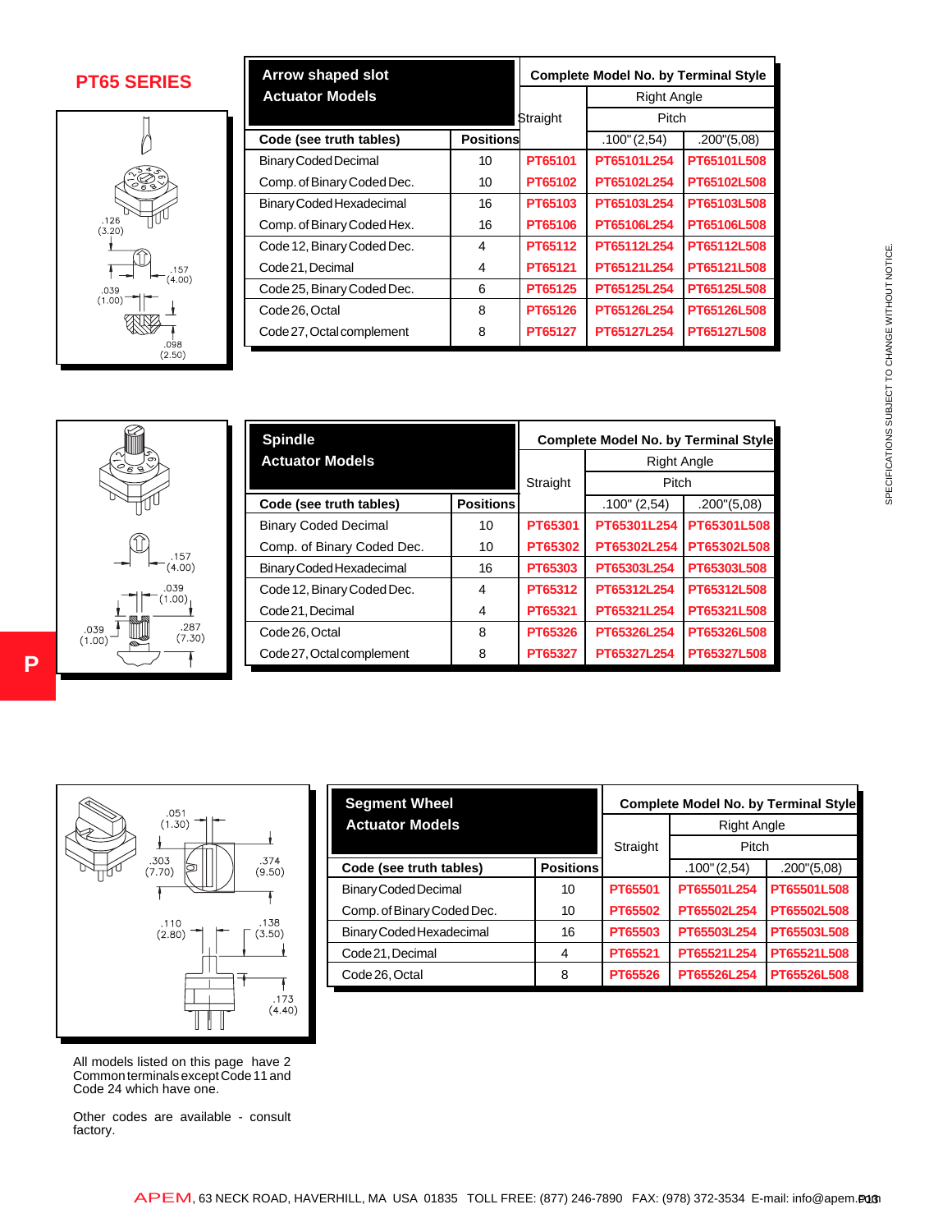

| <b>PT65 SERIES</b>                                                                                      |                                          | Arrow shaped slot<br><b>Actuator Models</b>                                                                     |                  | <b>Complete Model No. by Terminal Style</b>                                            |                    |                                             |             |
|---------------------------------------------------------------------------------------------------------|------------------------------------------|-----------------------------------------------------------------------------------------------------------------|------------------|----------------------------------------------------------------------------------------|--------------------|---------------------------------------------|-------------|
|                                                                                                         |                                          |                                                                                                                 |                  |                                                                                        | <b>Right Angle</b> |                                             |             |
|                                                                                                         |                                          |                                                                                                                 |                  | Straight                                                                               | Pitch              |                                             |             |
|                                                                                                         |                                          | Code (see truth tables)                                                                                         | <b>Positions</b> |                                                                                        | $.100$ " (2,54)    | .200''(5,08)                                |             |
|                                                                                                         | <b>Binary Coded Decimal</b>              |                                                                                                                 | 10               | PT65101                                                                                | PT65101L254        | PT65101L508                                 |             |
|                                                                                                         |                                          | Comp. of Binary Coded Dec.                                                                                      | 10               | PT65102                                                                                | PT65102L254        | PT65102L508                                 |             |
|                                                                                                         |                                          | <b>Binary Coded Hexadecimal</b>                                                                                 | 16               | PT65103                                                                                | PT65103L254        | PT65103L508                                 |             |
| .126<br>(3.20)                                                                                          |                                          | Comp. of Binary Coded Hex.                                                                                      | 16               | PT65106                                                                                | PT65106L254        | PT65106L508                                 |             |
|                                                                                                         |                                          | Code 12, Binary Coded Dec.                                                                                      | 4                | PT65112                                                                                | PT65112L254        | PT65112L508                                 |             |
| .157                                                                                                    | Code 21, Decimal                         |                                                                                                                 | 4                | PT65121                                                                                | PT65121L254        | PT65121L508                                 |             |
| (4.00)<br>.039<br>(1.00)                                                                                |                                          | Code 25, Binary Coded Dec.                                                                                      | 6                | PT65125                                                                                | PT65125L254        | PT65125L508                                 |             |
|                                                                                                         | Code 26, Octal                           |                                                                                                                 | 8                | PT65126                                                                                | PT65126L254        | PT65126L508                                 |             |
| .098                                                                                                    |                                          | Code 27, Octal complement                                                                                       | 8                | PT65127                                                                                | PT65127L254        | PT65127L508                                 |             |
|                                                                                                         | <b>Spindle</b><br><b>Actuator Models</b> |                                                                                                                 |                  | <b>Complete Model No. by Terminal Style</b><br><b>Right Angle</b><br>Pitch<br>Straight |                    |                                             |             |
|                                                                                                         |                                          | Code (see truth tables)                                                                                         | <b>Positions</b> |                                                                                        | .100" (2,54)       | .200''(5,08)                                |             |
|                                                                                                         |                                          | <b>Binary Coded Decimal</b>                                                                                     | 10               | PT65301                                                                                | PT65301L254        | PT65301L508                                 |             |
|                                                                                                         |                                          | Comp. of Binary Coded Dec.                                                                                      | 10               | PT65302                                                                                | PT65302L254        | PT65302L508                                 |             |
| .157<br>(4.00)                                                                                          |                                          | Binary Coded Hexadecimal                                                                                        | 16               | PT65303                                                                                | PT65303L254        | PT65303L508                                 |             |
| .039                                                                                                    |                                          | Code 12, Binary Coded Dec.                                                                                      | 4                | PT65312                                                                                | PT65312L254        | PT65312L508                                 |             |
| $(1.00)$ <sub>1</sub>                                                                                   | Code 21, Decimal                         |                                                                                                                 | 4                | PT65321                                                                                | PT65321L254        | PT65321L508                                 |             |
| .287<br>.039                                                                                            | Code 26, Octal                           |                                                                                                                 | 8                | PT65326                                                                                | PT65326L254        | PT65326L508                                 |             |
| (7.30)<br>(1.00)                                                                                        |                                          | Code 27, Octal complement                                                                                       | 8                | PT65327                                                                                | PT65327L254        | PT65327L508                                 |             |
|                                                                                                         |                                          | <b>Segment Wheel</b>                                                                                            |                  |                                                                                        |                    | <b>Complete Model No. by Terminal Style</b> |             |
| .051<br>(1.30)                                                                                          |                                          | <b>Actuator Models</b>                                                                                          |                  |                                                                                        |                    | <b>Right Angle</b>                          |             |
|                                                                                                         |                                          |                                                                                                                 |                  |                                                                                        | Straight           | Pitch                                       |             |
| .374<br>.303<br>(7.70)<br>(9.50)                                                                        |                                          | Code (see truth tables)                                                                                         |                  | <b>Positions</b>                                                                       |                    | $.100$ " (2,54)<br>.200''(5,08)             |             |
|                                                                                                         |                                          | <b>Binary Coded Decimal</b>                                                                                     |                  | 10                                                                                     | PT65501            | PT65501L254                                 | PT65501L508 |
|                                                                                                         |                                          | Comp. of Binary Coded Dec.                                                                                      |                  | 10                                                                                     | PT65502            | PT65502L254                                 | PT65502L508 |
| .138<br>.110<br>(2.80)<br>(3.50)                                                                        |                                          | Binary Coded Hexadecimal                                                                                        |                  | 16                                                                                     | PT65503            | PT65503L254                                 | PT65503L508 |
|                                                                                                         |                                          | Code 21, Decimal                                                                                                |                  | 4                                                                                      | PT65521            | PT65521L254                                 | PT65521L508 |
|                                                                                                         |                                          | Code 26, Octal                                                                                                  |                  | 8                                                                                      | PT65526            | PT65526L254                                 | PT65526L508 |
|                                                                                                         | .173<br>(4.40)                           |                                                                                                                 |                  |                                                                                        |                    |                                             |             |
| All models listed on this page have 2<br>Common terminals except Code 11 and<br>Code 24 which have one. |                                          |                                                                                                                 |                  |                                                                                        |                    |                                             |             |
| Other codes are available - consult<br>actory.                                                          |                                          |                                                                                                                 |                  |                                                                                        |                    |                                             |             |
|                                                                                                         |                                          | APEM, 63 NECK ROAD, HAVERHILL, MA USA 01835 TOLL FREE: (877) 246-7890 FAX: (978) 372-3534 E-mail: info@apem.Bug |                  |                                                                                        |                    |                                             |             |

| $.157$<br>(4.00)                                      |
|-------------------------------------------------------|
| .039<br>(1.00)<br>.287<br>(7.30)<br>)39<br>.00)<br>Ø. |

**P**

| <b>Spindle</b>              | <b>Complete Model No. by Terminal Style</b> |                    |              |              |
|-----------------------------|---------------------------------------------|--------------------|--------------|--------------|
| <b>Actuator Models</b>      |                                             | <b>Right Angle</b> |              |              |
|                             | Straight                                    | Pitch              |              |              |
| Code (see truth tables)     | <b>Positions</b>                            |                    | .100" (2.54) | .200''(5,08) |
| <b>Binary Coded Decimal</b> | 10                                          | PT65301            | PT65301L254  | PT65301L508  |
| Comp. of Binary Coded Dec.  | 10                                          | PT65302            | PT65302L254  | PT65302L508  |
| Binary Coded Hexadecimal    | 16                                          | PT65303            | PT65303L254  | PT65303L508  |
| Code 12, Binary Coded Dec.  | 4                                           | PT65312            | PT65312L254  | PT65312L508  |
| Code 21, Decimal            | 4                                           | PT65321            | PT65321L254  | PT65321L508  |
| Code 26, Octal              | 8                                           | PT65326            | PT65326L254  | PT65326L508  |
| Code 27, Octal complement   | 8                                           | PT65327            | PT65327L254  | PT65327L508  |



| <b>Segment Wheel</b>       | <b>Complete Model No. by Terminal Style</b> |          |                    |              |  |
|----------------------------|---------------------------------------------|----------|--------------------|--------------|--|
| <b>Actuator Models</b>     |                                             |          | <b>Right Angle</b> |              |  |
|                            |                                             | Straight | Pitch              |              |  |
| Code (see truth tables)    | <b>Positions</b>                            |          | $.100$ " (2,54)    | .200''(5,08) |  |
| Binary Coded Decimal       | 10                                          | PT65501  | PT65501L254        | PT65501L508  |  |
| Comp. of Binary Coded Dec. | 10                                          | PT65502  | PT65502L254        | PT65502L508  |  |
| Binary Coded Hexadecimal   | 16                                          | PT65503  | PT65503L254        | PT65503L508  |  |
| Code 21, Decimal           | 4                                           | PT65521  | PT65521L254        | PT65521L508  |  |
| Code 26, Octal             | 8                                           | PT65526  | PT65526L254        | PT65526L508  |  |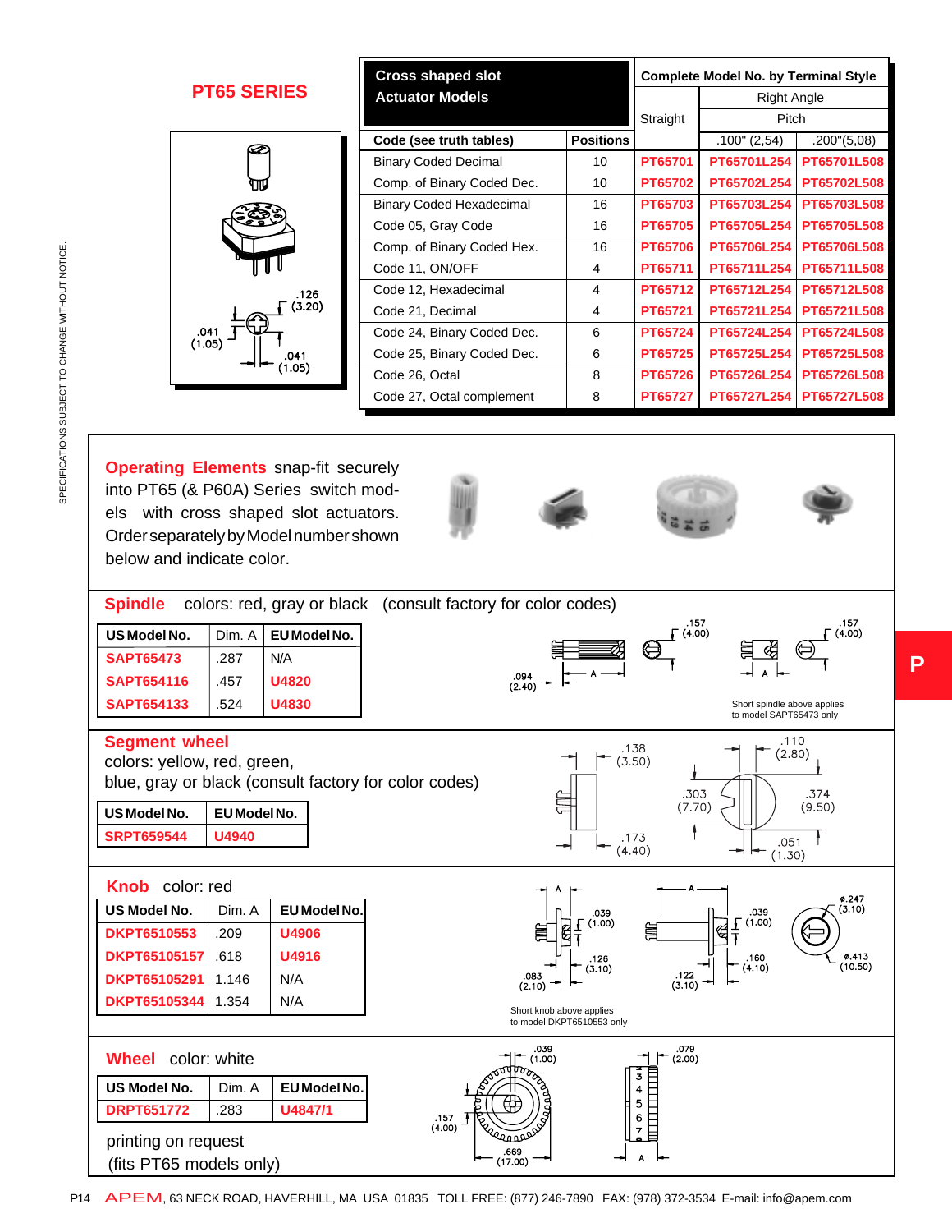|                    | <b>Cross shaped slot</b><br><b>Actuator Models</b> |                  | <b>Complete Model No. by Terminal Style</b> |                 |                       |
|--------------------|----------------------------------------------------|------------------|---------------------------------------------|-----------------|-----------------------|
| <b>PT65 SERIES</b> |                                                    |                  |                                             | Right Angle     |                       |
|                    |                                                    |                  | Straight                                    | Pitch           |                       |
| œ                  | Code (see truth tables)                            | <b>Positions</b> |                                             | $.100$ " (2,54) | $.200^{\circ}$ (5,08) |
|                    | <b>Binary Coded Decimal</b>                        | 10               | PT65701                                     | PT65701L254     | PT65701L508           |
| ٩π                 | Comp. of Binary Coded Dec.                         | 10               | PT65702                                     | PT65702L254     | PT65702L508           |
|                    | <b>Binary Coded Hexadecimal</b>                    | 16               | PT65703                                     | PT65703L254     | PT65703L508           |
|                    | Code 05, Gray Code                                 | 16               | <b>PT65705</b>                              | PT65705L254     | <b>PT65705L508</b>    |
|                    | Comp. of Binary Coded Hex.                         | 16               | <b>PT65706</b>                              | PT65706L254     | <b>PT65706L508</b>    |
| .126               | Code 11, ON/OFF                                    | 4                | PT65711                                     | PT65711L254     | PT65711L508           |
|                    | Code 12, Hexadecimal                               | 4                | PT65712                                     | PT65712L254     | PT65712L508           |
| (3.20)             | Code 21, Decimal                                   | 4                | PT65721                                     | PT65721L254     | PT65721L508           |
| .041               | Code 24, Binary Coded Dec.                         | 6                | PT65724                                     | PT65724L254     | PT65724L508           |
| (1.05)<br>.041     | Code 25, Binary Coded Dec.                         | 6                | PT65725                                     | PT65725L254     | PT65725L508           |
| (1.05)             | Code 26, Octal                                     | 8                | PT65726                                     | PT65726L254     | PT65726L508           |
|                    | Code 27, Octal complement                          | 8                | PT65727                                     | PT65727L254     | PT65727L508           |
|                    |                                                    |                  |                                             |                 |                       |

**Operating Elements** snap-fit securely into PT65 (& P60A) Series switch models with cross shaped slot actuators. Order separately by Model number shown below and indicate color.







**P**



APEM, 63 NECK ROAD, HAVERHILL, MA USA 01835 TOLL FREE: (877) 246-7890 FAX: (978) 372-3534 E-mail: info@apem.com P14